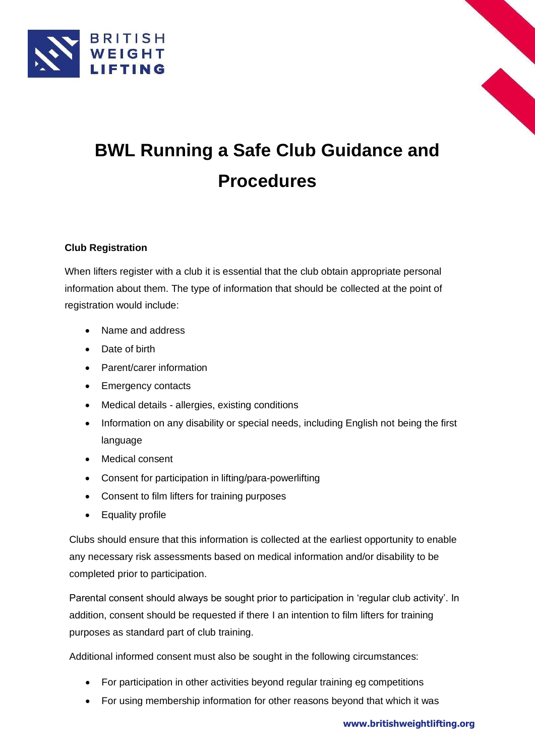



# **BWL Running a Safe Club Guidance and Procedures**

# **Club Registration**

When lifters register with a club it is essential that the club obtain appropriate personal information about them. The type of information that should be collected at the point of registration would include:

- Name and address
- Date of birth
- Parent/carer information
- Emergency contacts
- Medical details allergies, existing conditions
- Information on any disability or special needs, including English not being the first language
- Medical consent
- Consent for participation in lifting/para-powerlifting
- Consent to film lifters for training purposes
- Equality profile

Clubs should ensure that this information is collected at the earliest opportunity to enable any necessary risk assessments based on medical information and/or disability to be completed prior to participation.

Parental consent should always be sought prior to participation in 'regular club activity'. In addition, consent should be requested if there I an intention to film lifters for training purposes as standard part of club training.

Additional informed consent must also be sought in the following circumstances:

- For participation in other activities beyond regular training eg competitions
- For using membership information for other reasons beyond that which it was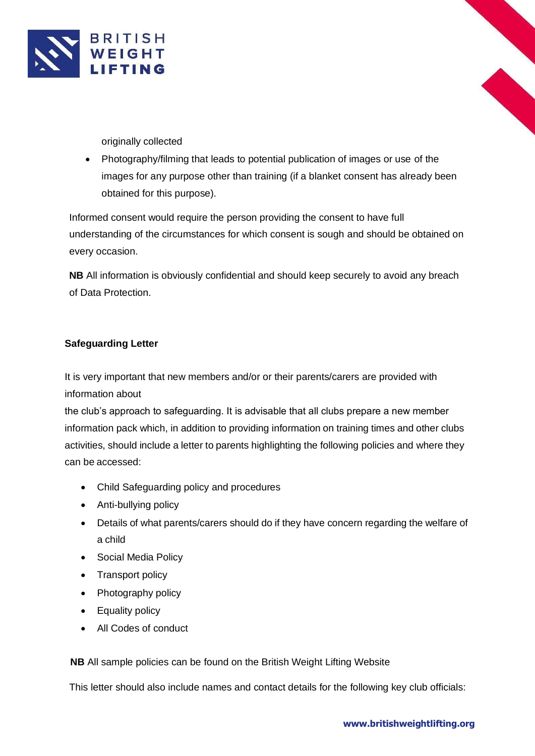



originally collected

• Photography/filming that leads to potential publication of images or use of the images for any purpose other than training (if a blanket consent has already been obtained for this purpose).

Informed consent would require the person providing the consent to have full understanding of the circumstances for which consent is sough and should be obtained on every occasion.

**NB** All information is obviously confidential and should keep securely to avoid any breach of Data Protection.

## **Safeguarding Letter**

It is very important that new members and/or or their parents/carers are provided with information about

the club's approach to safeguarding. It is advisable that all clubs prepare a new member information pack which, in addition to providing information on training times and other clubs activities, should include a letter to parents highlighting the following policies and where they can be accessed:

- Child Safeguarding policy and procedures
- Anti-bullying policy
- Details of what parents/carers should do if they have concern regarding the welfare of a child
- Social Media Policy
- Transport policy
- Photography policy
- Equality policy
- All Codes of conduct

**NB** All sample policies can be found on the British Weight Lifting Website

This letter should also include names and contact details for the following key club officials: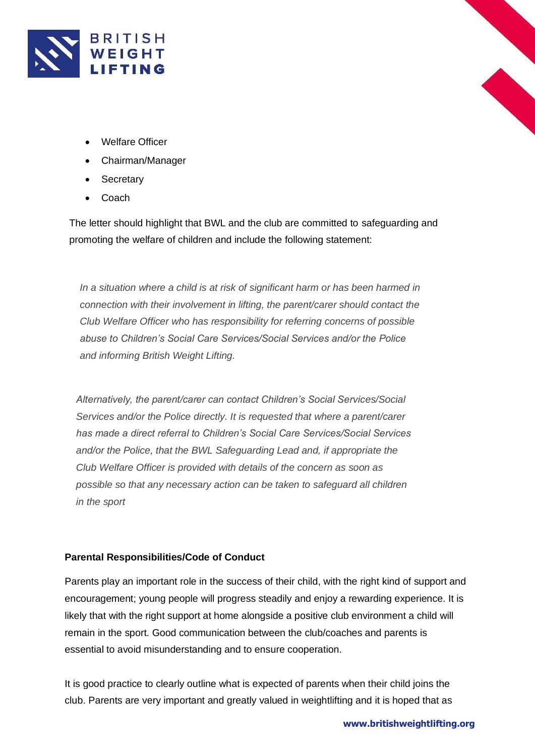



- Chairman/Manager
- Secretary
- Coach

The letter should highlight that BWL and the club are committed to safeguarding and promoting the welfare of children and include the following statement:

*In a situation where a child is at risk of significant harm or has been harmed in connection with their involvement in lifting, the parent/carer should contact the Club Welfare Officer who has responsibility for referring concerns of possible abuse to Children's Social Care Services/Social Services and/or the Police and informing British Weight Lifting.*

*Alternatively, the parent/carer can contact Children's Social Services/Social Services and/or the Police directly. It is requested that where a parent/carer has made a direct referral to Children's Social Care Services/Social Services and/or the Police, that the BWL Safeguarding Lead and, if appropriate the Club Welfare Officer is provided with details of the concern as soon as possible so that any necessary action can be taken to safeguard all children in the sport*

# **Parental Responsibilities/Code of Conduct**

Parents play an important role in the success of their child, with the right kind of support and encouragement; young people will progress steadily and enjoy a rewarding experience. It is likely that with the right support at home alongside a positive club environment a child will remain in the sport. Good communication between the club/coaches and parents is essential to avoid misunderstanding and to ensure cooperation.

It is good practice to clearly outline what is expected of parents when their child joins the club. Parents are very important and greatly valued in weightlifting and it is hoped that as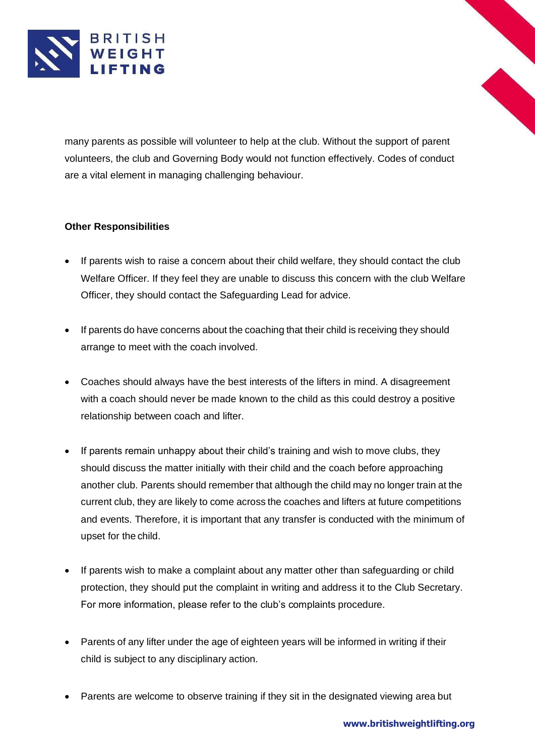

many parents as possible will volunteer to help at the club. Without the support of parent volunteers, the club and Governing Body would not function effectively. Codes of conduct are a vital element in managing challenging behaviour.

## **Other Responsibilities**

- If parents wish to raise a concern about their child welfare, they should contact the club Welfare Officer. If they feel they are unable to discuss this concern with the club Welfare Officer, they should contact the Safeguarding Lead for advice.
- If parents do have concerns about the coaching that their child is receiving they should arrange to meet with the coach involved.
- Coaches should always have the best interests of the lifters in mind. A disagreement with a coach should never be made known to the child as this could destroy a positive relationship between coach and lifter.
- If parents remain unhappy about their child's training and wish to move clubs, they should discuss the matter initially with their child and the coach before approaching another club. Parents should remember that although the child may no longer train at the current club, they are likely to come across the coaches and lifters at future competitions and events. Therefore, it is important that any transfer is conducted with the minimum of upset for the child.
- If parents wish to make a complaint about any matter other than safeguarding or child protection, they should put the complaint in writing and address it to the Club Secretary. For more information, please refer to the club's complaints procedure.
- Parents of any lifter under the age of eighteen years will be informed in writing if their child is subject to any disciplinary action.
- Parents are welcome to observe training if they sit in the designated viewing area but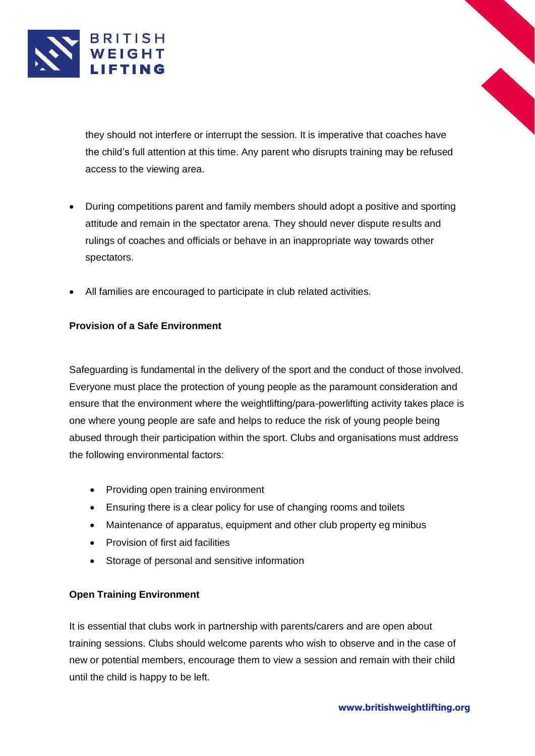

they should not interfere or interrupt the session. It is imperative that coaches have the child's full attention at this time. Any parent who disrupts training may be refused access to the viewing area.

- During competitions parent and family members should adopt a positive and sporting attitude and remain in the spectator arena. They should never dispute results and rulings of coaches and officials or behave in an inappropriate way towards other spectators.
- All families are encouraged to participate in club related activities.

# **Provision of a Safe Environment**

Safeguarding is fundamental in the delivery of the sport and the conduct of those involved. Everyone must place the protection of young people as the paramount consideration and ensure that the environment where the weightlifting/para-powerlifting activity takes place is one where young people are safe and helps to reduce the risk of young people being abused through their participation within the sport. Clubs and organisations must address the following environmental factors:

- Providing open training environment
- Ensuring there is a clear policy for use of changing rooms and toilets
- Maintenance of apparatus, equipment and other club property eg minibus
- Provision of first aid facilities
- Storage of personal and sensitive information

## **Open Training Environment**

It is essential that clubs work in partnership with parents/carers and are open about training sessions. Clubs should welcome parents who wish to observe and in the case of new or potential members, encourage them to view a session and remain with their child until the child is happy to be left.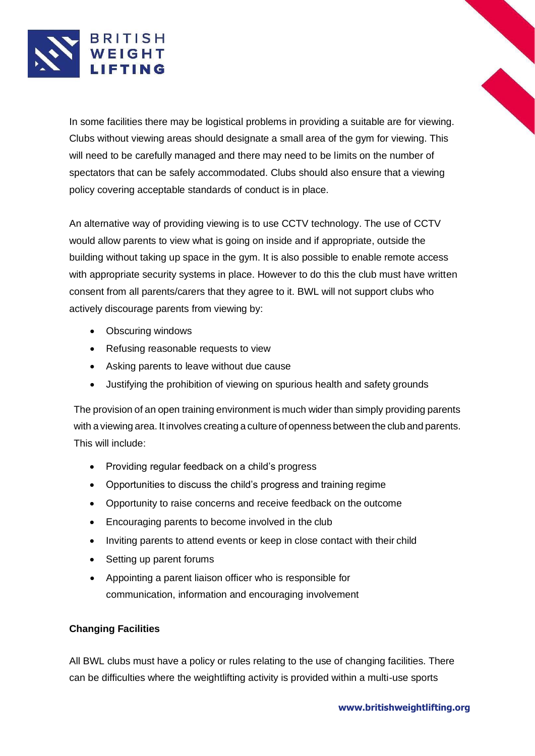

In some facilities there may be logistical problems in providing a suitable are for viewing. Clubs without viewing areas should designate a small area of the gym for viewing. This will need to be carefully managed and there may need to be limits on the number of spectators that can be safely accommodated. Clubs should also ensure that a viewing policy covering acceptable standards of conduct is in place.

An alternative way of providing viewing is to use CCTV technology. The use of CCTV would allow parents to view what is going on inside and if appropriate, outside the building without taking up space in the gym. It is also possible to enable remote access with appropriate security systems in place. However to do this the club must have written consent from all parents/carers that they agree to it. BWL will not support clubs who actively discourage parents from viewing by:

- Obscuring windows
- Refusing reasonable requests to view
- Asking parents to leave without due cause
- Justifying the prohibition of viewing on spurious health and safety grounds

The provision of an open training environment is much wider than simply providing parents with a viewing area. It involves creating a culture of openness between the club and parents. This will include:

- Providing regular feedback on a child's progress
- Opportunities to discuss the child's progress and training regime
- Opportunity to raise concerns and receive feedback on the outcome
- Encouraging parents to become involved in the club
- Inviting parents to attend events or keep in close contact with their child
- Setting up parent forums
- Appointing a parent liaison officer who is responsible for communication, information and encouraging involvement

## **Changing Facilities**

All BWL clubs must have a policy or rules relating to the use of changing facilities. There can be difficulties where the weightlifting activity is provided within a multi-use sports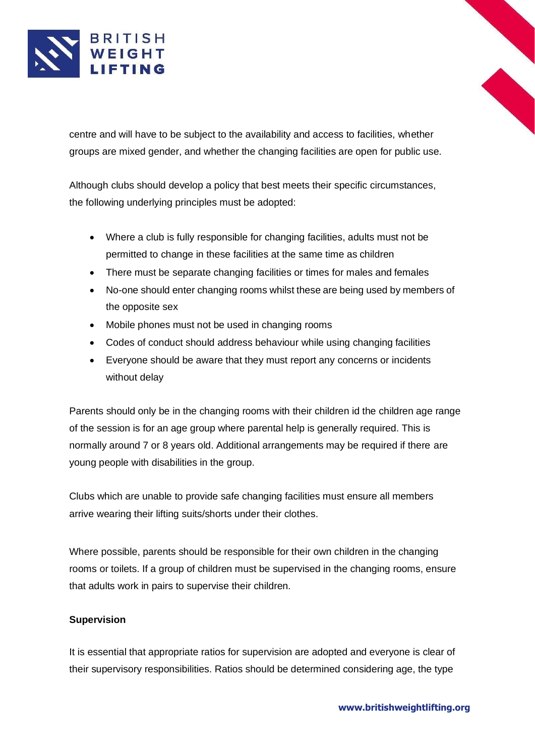

centre and will have to be subject to the availability and access to facilities, whether groups are mixed gender, and whether the changing facilities are open for public use.

Although clubs should develop a policy that best meets their specific circumstances, the following underlying principles must be adopted:

- Where a club is fully responsible for changing facilities, adults must not be permitted to change in these facilities at the same time as children
- There must be separate changing facilities or times for males and females
- No-one should enter changing rooms whilst these are being used by members of the opposite sex
- Mobile phones must not be used in changing rooms
- Codes of conduct should address behaviour while using changing facilities
- Everyone should be aware that they must report any concerns or incidents without delay

Parents should only be in the changing rooms with their children id the children age range of the session is for an age group where parental help is generally required. This is normally around 7 or 8 years old. Additional arrangements may be required if there are young people with disabilities in the group.

Clubs which are unable to provide safe changing facilities must ensure all members arrive wearing their lifting suits/shorts under their clothes.

Where possible, parents should be responsible for their own children in the changing rooms or toilets. If a group of children must be supervised in the changing rooms, ensure that adults work in pairs to supervise their children.

## **Supervision**

It is essential that appropriate ratios for supervision are adopted and everyone is clear of their supervisory responsibilities. Ratios should be determined considering age, the type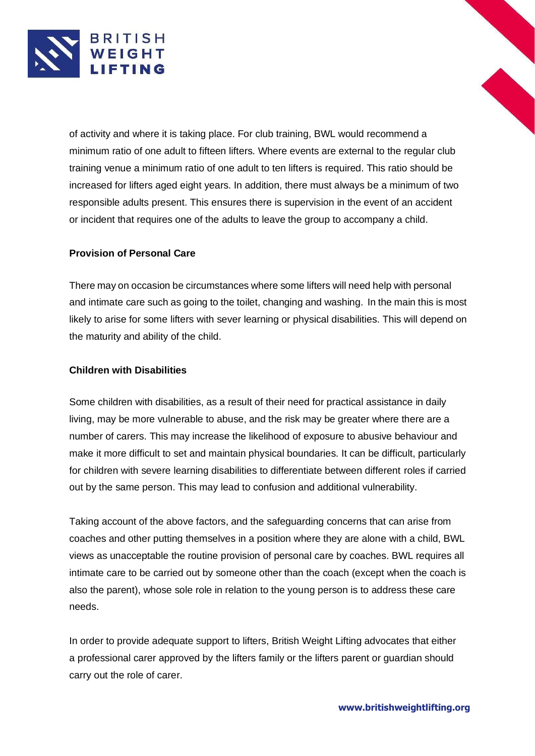

of activity and where it is taking place. For club training, BWL would recommend a minimum ratio of one adult to fifteen lifters. Where events are external to the regular club training venue a minimum ratio of one adult to ten lifters is required. This ratio should be increased for lifters aged eight years. In addition, there must always be a minimum of two responsible adults present. This ensures there is supervision in the event of an accident or incident that requires one of the adults to leave the group to accompany a child.

## **Provision of Personal Care**

There may on occasion be circumstances where some lifters will need help with personal and intimate care such as going to the toilet, changing and washing. In the main this is most likely to arise for some lifters with sever learning or physical disabilities. This will depend on the maturity and ability of the child.

#### **Children with Disabilities**

Some children with disabilities, as a result of their need for practical assistance in daily living, may be more vulnerable to abuse, and the risk may be greater where there are a number of carers. This may increase the likelihood of exposure to abusive behaviour and make it more difficult to set and maintain physical boundaries. It can be difficult, particularly for children with severe learning disabilities to differentiate between different roles if carried out by the same person. This may lead to confusion and additional vulnerability.

Taking account of the above factors, and the safeguarding concerns that can arise from coaches and other putting themselves in a position where they are alone with a child, BWL views as unacceptable the routine provision of personal care by coaches. BWL requires all intimate care to be carried out by someone other than the coach (except when the coach is also the parent), whose sole role in relation to the young person is to address these care needs.

In order to provide adequate support to lifters, British Weight Lifting advocates that either a professional carer approved by the lifters family or the lifters parent or guardian should carry out the role of carer.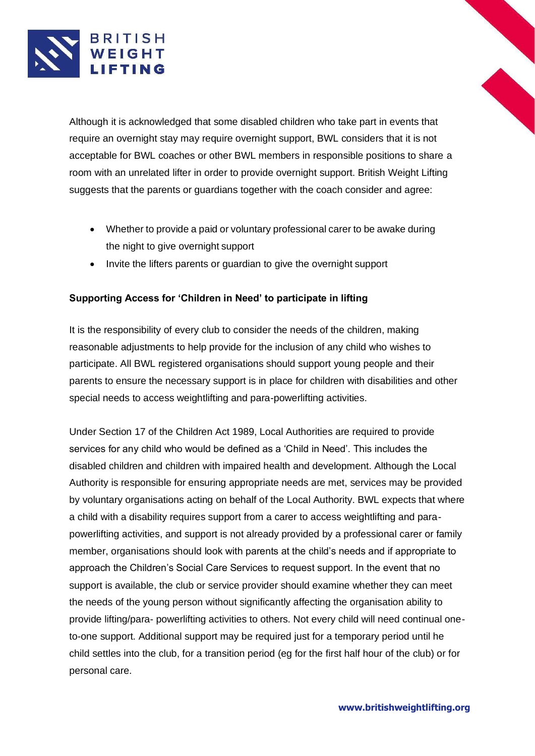

Although it is acknowledged that some disabled children who take part in events that require an overnight stay may require overnight support, BWL considers that it is not acceptable for BWL coaches or other BWL members in responsible positions to share a room with an unrelated lifter in order to provide overnight support. British Weight Lifting suggests that the parents or guardians together with the coach consider and agree:

- Whether to provide a paid or voluntary professional carer to be awake during the night to give overnight support
- Invite the lifters parents or guardian to give the overnight support

## **Supporting Access for 'Children in Need' to participate in lifting**

It is the responsibility of every club to consider the needs of the children, making reasonable adjustments to help provide for the inclusion of any child who wishes to participate. All BWL registered organisations should support young people and their parents to ensure the necessary support is in place for children with disabilities and other special needs to access weightlifting and para-powerlifting activities.

Under Section 17 of the Children Act 1989, Local Authorities are required to provide services for any child who would be defined as a 'Child in Need'. This includes the disabled children and children with impaired health and development. Although the Local Authority is responsible for ensuring appropriate needs are met, services may be provided by voluntary organisations acting on behalf of the Local Authority. BWL expects that where a child with a disability requires support from a carer to access weightlifting and parapowerlifting activities, and support is not already provided by a professional carer or family member, organisations should look with parents at the child's needs and if appropriate to approach the Children's Social Care Services to request support. In the event that no support is available, the club or service provider should examine whether they can meet the needs of the young person without significantly affecting the organisation ability to provide lifting/para- powerlifting activities to others. Not every child will need continual oneto-one support. Additional support may be required just for a temporary period until he child settles into the club, for a transition period (eg for the first half hour of the club) or for personal care.